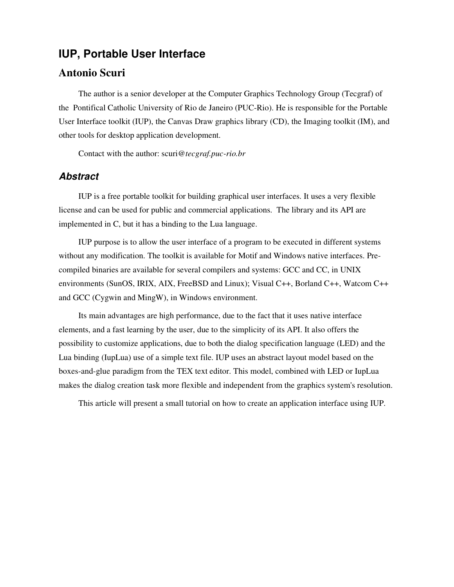# **IUP, Portable User Interface**

# **Antonio Scuri**

The author is a senior developer at the Computer Graphics Technology Group (Tecgraf) of the Pontifical Catholic University of Rio de Janeiro (PUC-Rio). He is responsible for the Portable User Interface toolkit (IUP), the Canvas Draw graphics library (CD), the Imaging toolkit (IM), and other tools for desktop application development.

Contact with the author: scuri*@tecgraf.puc-rio.br* 

### **Abstract**

IUP is a free portable toolkit for building graphical user interfaces. It uses a very flexible license and can be used for public and commercial applications. The library and its API are implemented in C, but it has a binding to the Lua language.

IUP purpose is to allow the user interface of a program to be executed in different systems without any modification. The toolkit is available for Motif and Windows native interfaces. Precompiled binaries are available for several compilers and systems: GCC and CC, in UNIX environments (SunOS, IRIX, AIX, FreeBSD and Linux); Visual C++, Borland C++, Watcom C++ and GCC (Cygwin and MingW), in Windows environment.

Its main advantages are high performance, due to the fact that it uses native interface elements, and a fast learning by the user, due to the simplicity of its API. It also offers the possibility to customize applications, due to both the dialog specification language (LED) and the Lua binding (IupLua) use of a simple text file. IUP uses an abstract layout model based on the boxes-and-glue paradigm from the TEX text editor. This model, combined with LED or IupLua makes the dialog creation task more flexible and independent from the graphics system's resolution.

This article will present a small tutorial on how to create an application interface using IUP.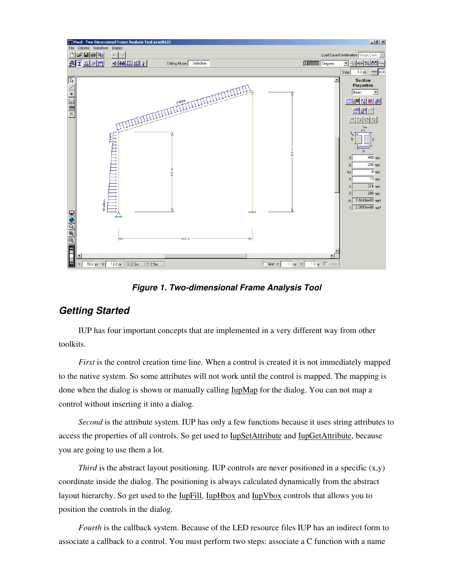

**Figure 1. Two-dimensional Frame Analysis Tool** 

## **Getting Started**

IUP has four important concepts that are implemented in a very different way from other toolkits.

*First* is the control creation time line. When a control is created it is not immediately mapped to the native system. So some attributes will not work until the control is mapped. The mapping is done when the dialog is shown or manually calling <u>IupMap</u> for the dialog. You can not map a control without inserting it into a dialog.

*Second* is the attribute system. IUP has only a few functions because it uses string attributes to access the properties of all controls. So get used to **IupSetAttribute** and **IupGetAttribute**, because you are going to use them a lot.

*Third* is the abstract layout positioning. IUP controls are never positioned in a specific  $(x,y)$ coordinate inside the dialog. The positioning is always calculated dynamically from the abstract layout hierarchy. So get used to the *IupFill*, *IupHbox* and *IupVbox* controls that allows you to position the controls in the dialog.

*Fourth* is the callback system. Because of the LED resource files IUP has an indirect form to associate a callback to a control. You must perform two steps: associate a C function with a name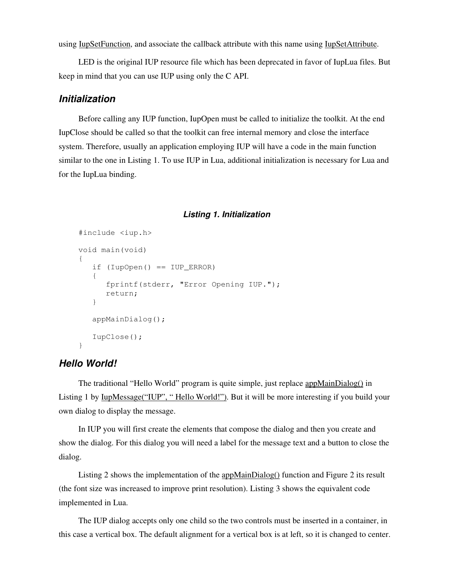using IupSetFunction, and associate the callback attribute with this name using IupSetAttribute.

LED is the original IUP resource file which has been deprecated in favor of IupLua files. But keep in mind that you can use IUP using only the C API.

### **Initialization**

Before calling any IUP function, IupOpen must be called to initialize the toolkit. At the end IupClose should be called so that the toolkit can free internal memory and close the interface system. Therefore, usually an application employing IUP will have a code in the main function similar to the one in Listing 1. To use IUP in Lua, additional initialization is necessary for Lua and for the IupLua binding.

#### **Listing 1. Initialization**

```
#include <iup.h> 
void main(void) 
{ 
     if (IupOpen() == IUP_ERROR) 
\left\{ \begin{array}{c} 1 \end{array} \right. fprintf(stderr, "Error Opening IUP."); 
         return; 
     } 
     appMainDialog(); 
     IupClose(); 
}
```
### **Hello World!**

The traditional "Hello World" program is quite simple, just replace  $\frac{appMainDialog()}{i}$  in Listing 1 by IupMessage("IUP", " Hello World!"). But it will be more interesting if you build your own dialog to display the message.

In IUP you will first create the elements that compose the dialog and then you create and show the dialog. For this dialog you will need a label for the message text and a button to close the dialog.

Listing 2 shows the implementation of the appMainDialog() function and Figure 2 its result (the font size was increased to improve print resolution). Listing 3 shows the equivalent code implemented in Lua.

The IUP dialog accepts only one child so the two controls must be inserted in a container, in this case a vertical box. The default alignment for a vertical box is at left, so it is changed to center.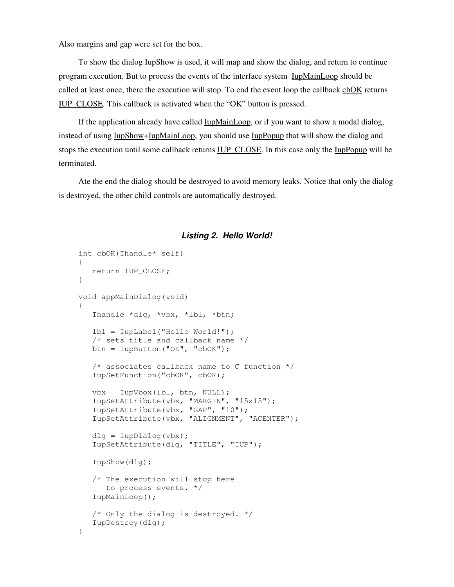Also margins and gap were set for the box.

To show the dialog IupShow is used, it will map and show the dialog, and return to continue program execution. But to process the events of the interface system IupMainLoop should be called at least once, there the execution will stop. To end the event loop the callback cbOK returns IUP\_CLOSE. This callback is activated when the "OK" button is pressed.

If the application already have called **IupMainLoop**, or if you want to show a modal dialog, instead of using IupShow+IupMainLoop, you should use IupPopup that will show the dialog and stops the execution until some callback returns IUP\_CLOSE. In this case only the IupPopup will be terminated.

Ate the end the dialog should be destroyed to avoid memory leaks. Notice that only the dialog is destroyed, the other child controls are automatically destroyed.

```
int cbOK(Ihandle* self) 
{ 
   return IUP_CLOSE; 
} 
void appMainDialog(void) 
{ 
    Ihandle *dlg, *vbx, *lbl, *btn; 
    lbl = IupLabel("Hello World!"); 
    /* sets title and callback name */ 
    btn = IupButton("OK", "cbOK"); 
    /* associates callback name to C function */ 
    IupSetFunction("cbOK", cbOK); 
    vbx = IupVbox(lbl, btn, NULL); 
    IupSetAttribute(vbx, "MARGIN", "15x15"); 
    IupSetAttribute(vbx, "GAP", "10"); 
    IupSetAttribute(vbx, "ALIGNMENT", "ACENTER"); 
   dlq = IupDialoq(vbx);
    IupSetAttribute(dlg, "TITLE", "IUP"); 
    IupShow(dlg); 
    /* The execution will stop here 
       to process events. */ 
    IupMainLoop(); 
    /* Only the dialog is destroyed. */ 
    IupDestroy(dlg); 
}
```
#### **Listing 2. Hello World!**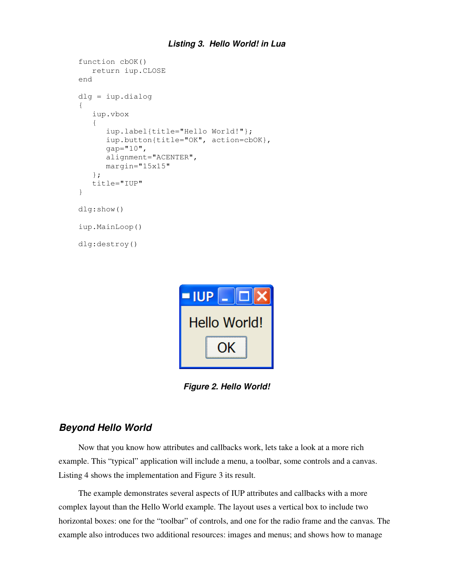```
function cbOK() 
   return iup.CLOSE 
end 
dlg = iup.dialog 
{ 
    iup.vbox 
    { 
        iup.label{title="Hello World!"}; 
        iup.button{title="OK", action=cbOK}, 
        gap="10", 
       alignment="ACENTER", 
       margin="15x15" 
    }; 
    title="IUP" 
} 
dlg:show() 
iup.MainLoop() 
dlg:destroy()
```


**Figure 2. Hello World!** 

# **Beyond Hello World**

Now that you know how attributes and callbacks work, lets take a look at a more rich example. This "typical" application will include a menu, a toolbar, some controls and a canvas. Listing 4 shows the implementation and Figure 3 its result.

The example demonstrates several aspects of IUP attributes and callbacks with a more complex layout than the Hello World example. The layout uses a vertical box to include two horizontal boxes: one for the "toolbar" of controls, and one for the radio frame and the canvas. The example also introduces two additional resources: images and menus; and shows how to manage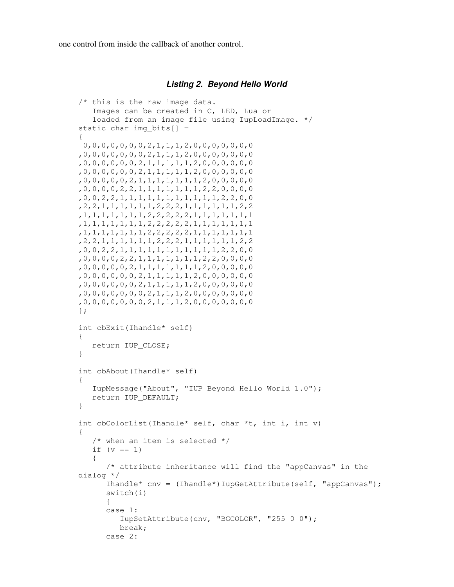one control from inside the callback of another control.

```
Listing 2. Beyond Hello World
```

```
/* this is the raw image data. 
    Images can be created in C, LED, Lua or 
    loaded from an image file using IupLoadImage. */
static char img_bits[] = 
{ 
 0,0,0,0,0,0,0,2,1,1,1,2,0,0,0,0,0,0,0 
,0,0,0,0,0,0,0,2,1,1,1,2,0,0,0,0,0,0,0 
,0,0,0,0,0,0,2,1,1,1,1,1,2,0,0,0,0,0,0 
,0,0,0,0,0,0,2,1,1,1,1,1,2,0,0,0,0,0,0 
,0,0,0,0,0,2,1,1,1,1,1,1,1,2,0,0,0,0,0 
,0,0,0,0,2,2,1,1,1,1,1,1,1,2,2,0,0,0,0 
,0,0,2,2,1,1,1,1,1,1,1,1,1,1,1,2,2,0,0 
,2,2,1,1,1,1,1,1,2,2,2,1,1,1,1,1,1,2,2 
,1,1,1,1,1,1,1,2,2,2,2,2,1,1,1,1,1,1,1 
,1,1,1,1,1,1,1,2,2,2,2,2,1,1,1,1,1,1,1 
,1,1,1,1,1,1,1,2,2,2,2,2,1,1,1,1,1,1,1 
,2,2,1,1,1,1,1,1,2,2,2,1,1,1,1,1,1,2,2 
,0,0,2,2,1,1,1,1,1,1,1,1,1,1,1,2,2,0,0 
,0,0,0,0,2,2,1,1,1,1,1,1,1,2,2,0,0,0,0 
,0,0,0,0,0,2,1,1,1,1,1,1,1,2,0,0,0,0,0 
,0,0,0,0,0,0,2,1,1,1,1,1,2,0,0,0,0,0,0 
,0,0,0,0,0,0,2,1,1,1,1,1,2,0,0,0,0,0,0 
,0,0,0,0,0,0,0,2,1,1,1,2,0,0,0,0,0,0,0 
,0,0,0,0,0,0,0,2,1,1,1,2,0,0,0,0,0,0,0 
}; 
int cbExit(Ihandle* self) 
{ 
    return IUP_CLOSE; 
} 
int cbAbout(Ihandle* self) 
{ 
    IupMessage("About", "IUP Beyond Hello World 1.0"); 
    return IUP_DEFAULT; 
} 
int cbColorList(Ihandle* self, char *t, int i, int v) 
{ 
    /* when an item is selected */ 
   if (v == 1) { 
       /* attribute inheritance will find the "appCanvas" in the 
dialog */ 
       Ihandle* cnv = (Ihandle*)IupGetAttribute(self, "appCanvas"); 
       switch(i) 
\{ case 1: 
          IupSetAttribute(cnv, "BGCOLOR", "255 0 0"); 
          break; 
       case 2:
```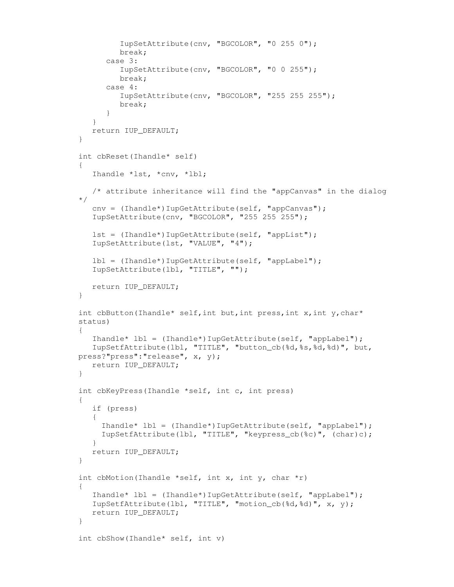```
 IupSetAttribute(cnv, "BGCOLOR", "0 255 0"); 
          break; 
       case 3: 
          IupSetAttribute(cnv, "BGCOLOR", "0 0 255"); 
          break; 
       case 4: 
          IupSetAttribute(cnv, "BGCOLOR", "255 255 255"); 
          break; 
 } 
    } 
    return IUP_DEFAULT; 
} 
int cbReset(Ihandle* self) 
{ 
    Ihandle *lst, *cnv, *lbl; 
    /* attribute inheritance will find the "appCanvas" in the dialog 
*/ 
    cnv = (Ihandle*)IupGetAttribute(self, "appCanvas"); 
    IupSetAttribute(cnv, "BGCOLOR", "255 255 255"); 
    lst = (Ihandle*)IupGetAttribute(self, "appList"); 
    IupSetAttribute(lst, "VALUE", "4"); 
    lbl = (Ihandle*)IupGetAttribute(self, "appLabel"); 
    IupSetAttribute(lbl, "TITLE", ""); 
   return IUP_DEFAULT; 
} 
int cbButton(Ihandle* self, int but, int press, int x, int y, char*
status) 
{ 
    Ihandle* lbl = (Ihandle*)IupGetAttribute(self, "appLabel"); 
    IupSetfAttribute(lbl, "TITLE", "button_cb(%d,%s,%d,%d)", but, 
press?"press":"release", x, y); 
    return IUP_DEFAULT; 
} 
int cbKeyPress(Ihandle *self, int c, int press) 
{ 
    if (press) 
    { 
      Ihandle* lbl = (Ihandle*)IupGetAttribute(self, "appLabel"); 
      IupSetfAttribute(lbl, "TITLE", "keypress_cb(%c)", (char)c); 
    } 
    return IUP_DEFAULT; 
} 
int cbMotion(Ihandle *self, int x, int y, char *r)
{ 
    Ihandle* lbl = (Ihandle*)IupGetAttribute(self, "appLabel"); 
    IupSetfAttribute(lbl, "TITLE", "motion_cb(%d,%d)", x, y); 
    return IUP_DEFAULT; 
} 
int cbShow(Ihandle* self, int v)
```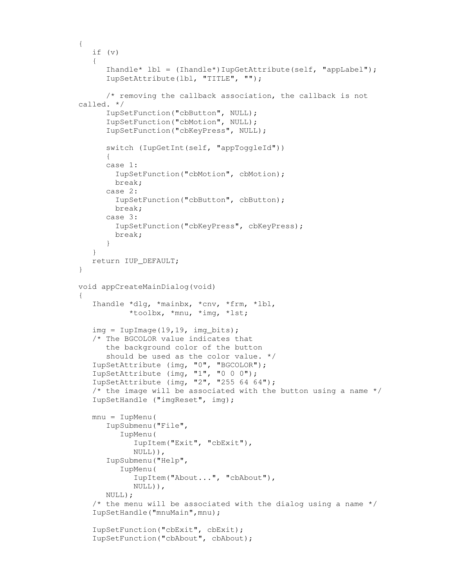```
{ 
    if (v) 
    { 
       Ihandle* lbl = (Ihandle*)IupGetAttribute(self, "appLabel"); 
       IupSetAttribute(lbl, "TITLE", ""); 
       /* removing the callback association, the callback is not 
called. */ 
       IupSetFunction("cbButton", NULL); 
       IupSetFunction("cbMotion", NULL); 
       IupSetFunction("cbKeyPress", NULL); 
       switch (IupGetInt(self, "appToggleId")) 
\{ case 1: 
         IupSetFunction("cbMotion", cbMotion); 
         break; 
       case 2: 
         IupSetFunction("cbButton", cbButton); 
         break; 
       case 3: 
         IupSetFunction("cbKeyPress", cbKeyPress); 
         break; 
 } 
    } 
    return IUP_DEFAULT; 
} 
void appCreateMainDialog(void) 
{ 
    Ihandle *dlg, *mainbx, *cnv, *frm, *lbl, 
             *toolbx, *mnu, *img, *lst; 
   img = TupImage(19, 19, img\_bits); /* The BGCOLOR value indicates that 
       the background color of the button 
       should be used as the color value. */ 
    IupSetAttribute (img, "0", "BGCOLOR"); 
    IupSetAttribute (img, "1", "0 0 0"); 
    IupSetAttribute (img, "2", "255 64 64"); 
   /* the image will be associated with the button using a name */ IupSetHandle ("imgReset", img); 
    mnu = IupMenu( 
       IupSubmenu("File", 
          IupMenu( 
              IupItem("Exit", "cbExit"), 
             NULL)), 
       IupSubmenu("Help", 
          IupMenu( 
              IupItem("About...", "cbAbout"), 
              NULL)), 
       NULL); 
   \frac{*}{*} the menu will be associated with the dialog using a name */ IupSetHandle("mnuMain",mnu); 
    IupSetFunction("cbExit", cbExit); 
    IupSetFunction("cbAbout", cbAbout);
```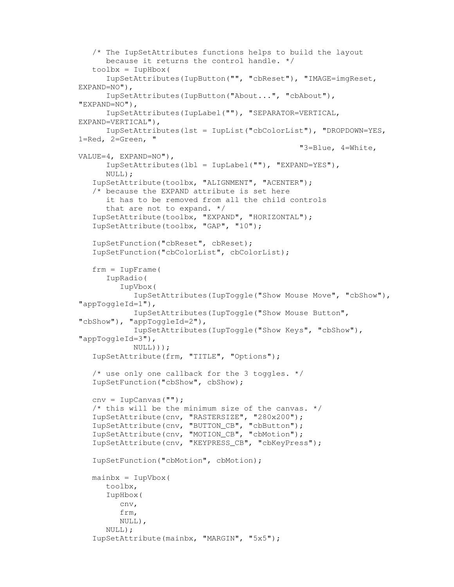```
 /* The IupSetAttributes functions helps to build the layout 
       because it returns the control handle. */ 
   toolbx = IupHbox( IupSetAttributes(IupButton("", "cbReset"), "IMAGE=imgReset, 
EXPAND=NO"), 
       IupSetAttributes(IupButton("About...", "cbAbout"), 
"EXPAND=NO"), 
       IupSetAttributes(IupLabel(""), "SEPARATOR=VERTICAL, 
EXPAND=VERTICAL"), 
       IupSetAttributes(lst = IupList("cbColorList"), "DROPDOWN=YES, 
1=Red, 2=Green, " 
                                                    "3=Blue, 4=White, 
VALUE=4, EXPAND=NO"), 
       IupSetAttributes(lbl = IupLabel(""), "EXPAND=YES"), 
       NULL); 
    IupSetAttribute(toolbx, "ALIGNMENT", "ACENTER");
    /* because the EXPAND attribute is set here 
       it has to be removed from all the child controls 
       that are not to expand. */ 
    IupSetAttribute(toolbx, "EXPAND", "HORIZONTAL");
    IupSetAttribute(toolbx, "GAP", "10"); 
    IupSetFunction("cbReset", cbReset); 
    IupSetFunction("cbColorList", cbColorList); 
    frm = IupFrame( 
       IupRadio( 
          IupVbox( 
             IupSetAttributes(IupToggle("Show Mouse Move", "cbShow"), 
"appToggleId=1"), 
             IupSetAttributes(IupToggle("Show Mouse Button", 
"cbShow"), "appToggleId=2"), 
             IupSetAttributes(IupToggle("Show Keys", "cbShow"), 
"appToggleId=3"), 
             NULL))); 
    IupSetAttribute(frm, "TITLE", "Options"); 
   /* use only one callback for the 3 toggles. */ IupSetFunction("cbShow", cbShow); 
   env = IupCanvas("");
   /* this will be the minimum size of the canvas. */ IupSetAttribute(cnv, "RASTERSIZE", "280x200"); 
    IupSetAttribute(cnv, "BUTTON_CB", "cbButton"); 
    IupSetAttribute(cnv, "MOTION_CB", "cbMotion"); 
    IupSetAttribute(cnv, "KEYPRESS_CB", "cbKeyPress"); 
    IupSetFunction("cbMotion", cbMotion); 
   mainbx = IupVbox( toolbx, 
       IupHbox( 
          cnv, 
          frm, 
          NULL), 
       NULL); 
    IupSetAttribute(mainbx, "MARGIN", "5x5");
```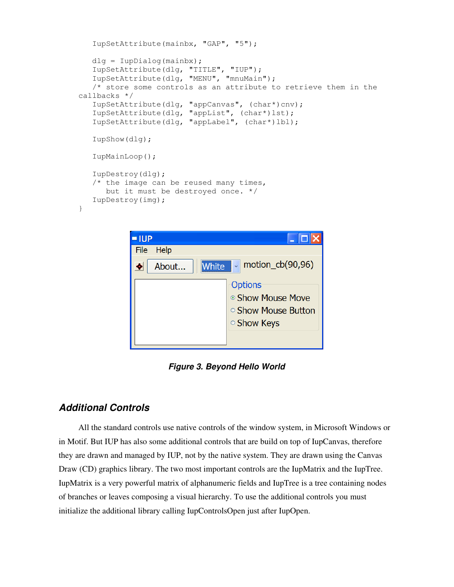```
 IupSetAttribute(mainbx, "GAP", "5"); 
   dlg = IupDialog(mainbx); IupSetAttribute(dlg, "TITLE", "IUP"); 
  IupSetAttribute(dlg, "MENU", "mnuMain");
   /* store some controls as an attribute to retrieve them in the
callbacks */ 
    IupSetAttribute(dlg, "appCanvas", (char*)cnv); 
 IupSetAttribute(dlg, "appList", (char*)lst); 
 IupSetAttribute(dlg, "appLabel", (char*)lbl); 
    IupShow(dlg); 
    IupMainLoop(); 
    IupDestroy(dlg); 
   /* the image can be reused many times,
       but it must be destroyed once. */ 
    IupDestroy(img); 
}
```


**Figure 3. Beyond Hello World** 

# **Additional Controls**

All the standard controls use native controls of the window system, in Microsoft Windows or in Motif. But IUP has also some additional controls that are build on top of IupCanvas, therefore they are drawn and managed by IUP, not by the native system. They are drawn using the Canvas Draw (CD) graphics library. The two most important controls are the IupMatrix and the IupTree. IupMatrix is a very powerful matrix of alphanumeric fields and IupTree is a tree containing nodes of branches or leaves composing a visual hierarchy. To use the additional controls you must initialize the additional library calling IupControlsOpen just after IupOpen.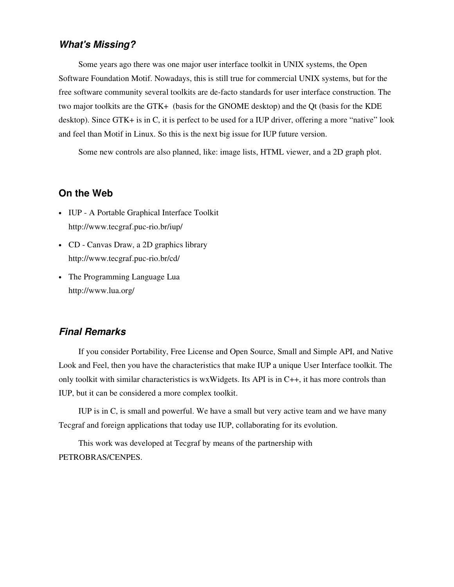## **What's Missing?**

Some years ago there was one major user interface toolkit in UNIX systems, the Open Software Foundation Motif. Nowadays, this is still true for commercial UNIX systems, but for the free software community several toolkits are de-facto standards for user interface construction. The two major toolkits are the GTK+ (basis for the GNOME desktop) and the Qt (basis for the KDE desktop). Since GTK+ is in C, it is perfect to be used for a IUP driver, offering a more "native" look and feel than Motif in Linux. So this is the next big issue for IUP future version.

Some new controls are also planned, like: image lists, HTML viewer, and a 2D graph plot.

# **On the Web**

- IUP A Portable Graphical Interface Toolkit http://www.tecgraf.puc-rio.br/iup/
- CD Canvas Draw, a 2D graphics library http://www.tecgraf.puc-rio.br/cd/
- The Programming Language Lua http://www.lua.org/

### **Final Remarks**

If you consider Portability, Free License and Open Source, Small and Simple API, and Native Look and Feel, then you have the characteristics that make IUP a unique User Interface toolkit. The only toolkit with similar characteristics is wxWidgets. Its API is in C++, it has more controls than IUP, but it can be considered a more complex toolkit.

IUP is in C, is small and powerful. We have a small but very active team and we have many Tecgraf and foreign applications that today use IUP, collaborating for its evolution.

This work was developed at Tecgraf by means of the partnership with PETROBRAS/CENPES.